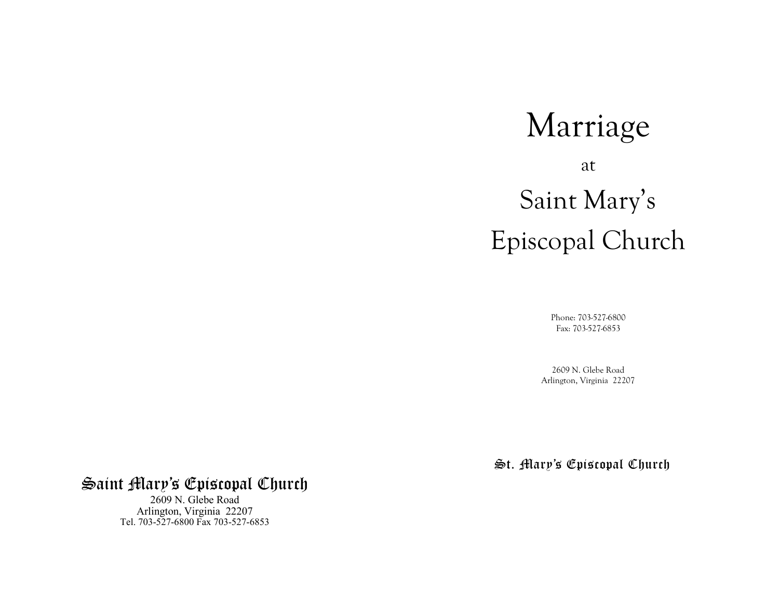# Marriage at Saint Mary's Episcopal Church

Phone: 703-527-6800 Fax: 703-527-6853

2609 N. Glebe Road Arlington, Virginia 22207

St. Mary's Episcopal Church

# Saint Mary's Episcopal Church

2609 N. Glebe Road Arlington, Virginia 22207 Tel. 703-527-6800 Fax 703-527-6853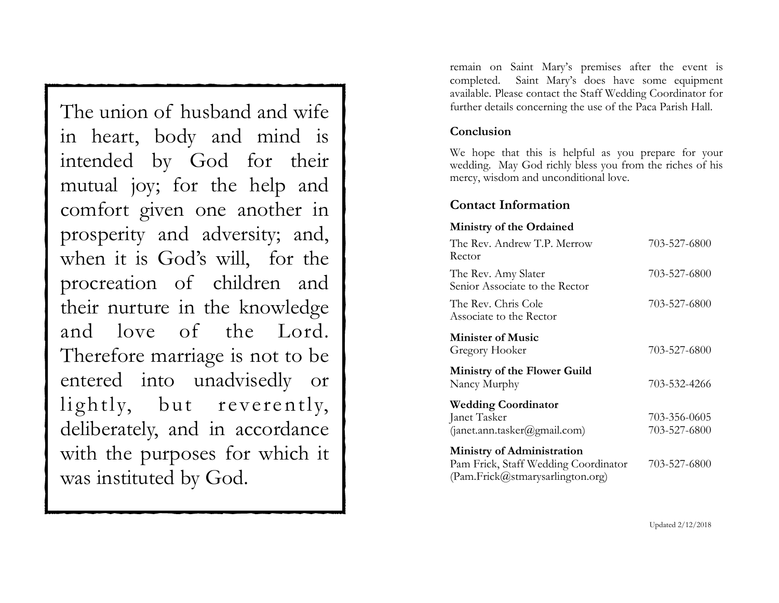The union of husband and wife in heart, body and mind is intended by God for their mutual joy; for the help and comfort given one another in prosperity and adversity; and, when it is God's will, for the procreation of children and their nurture in the knowledge and love of the Lord. Therefore marriage is not to be entered into unadvisedly or lightly, but reverently, deliberately, and in accordance with the purposes for which it was instituted by God.

remain on Saint Mary's premises after the event is completed. Saint Mary's does have some equipment available. Please contact the Staff Wedding Coordinator for further details concerning the use of the Paca Parish Hall.

#### **Conclusion**

We hope that this is helpful as you prepare for your wedding. May God richly bless you from the riches of his mercy, wisdom and unconditional love.

#### **Contact Information**

#### **Ministry of the Ordained**

| The Rev. Andrew T.P. Merrow<br>Rector                                                                         | 703-527-6800                 |
|---------------------------------------------------------------------------------------------------------------|------------------------------|
| The Rev. Amy Slater<br>Senior Associate to the Rector                                                         | 703-527-6800                 |
| The Rev. Chris Cole<br>Associate to the Rector                                                                | 703-527-6800                 |
| <b>Minister of Music</b><br>Gregory Hooker                                                                    | 703-527-6800                 |
| <b>Ministry of the Flower Guild</b><br>Nancy Murphy                                                           | 703-532-4266                 |
| <b>Wedding Coordinator</b><br>Janet Tasker<br>(janet.ann. tasker@gmail.com)                                   | 703-356-0605<br>703-527-6800 |
| <b>Ministry of Administration</b><br>Pam Frick, Staff Wedding Coordinator<br>(Pam.Frick@stmarysarlington.org) | 703-527-6800                 |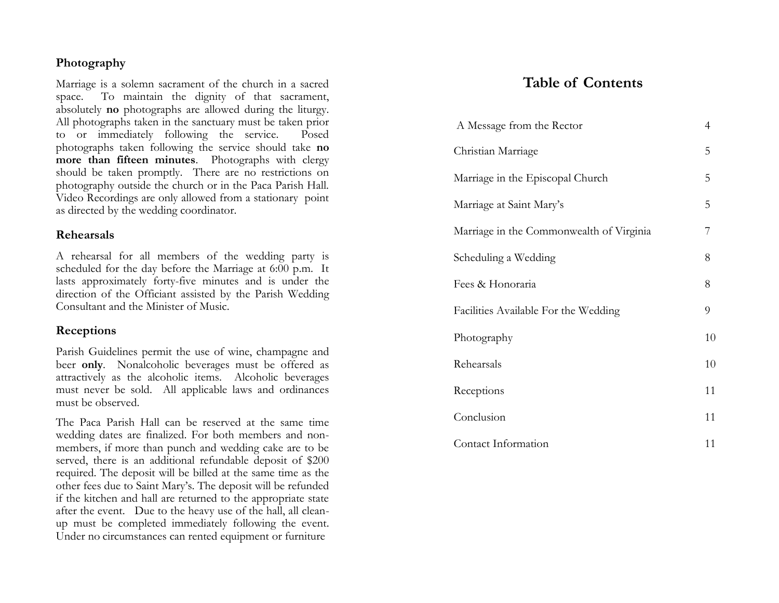#### **Photography**

Marriage is a solemn sacrament of the church in a sacred space. To maintain the dignity of that sacrament, absolutely **no** photographs are allowed during the liturgy. All photographs taken in the sanctuary must be taken prior to or immediately following the service. Posed photographs taken following the service should take **no more than fifteen minutes**. Photographs with clergy should be taken promptly. There are no restrictions on photography outside the church or in the Paca Parish Hall. Video Recordings are only allowed from a stationary point as directed by the wedding coordinator.

#### **Rehearsals**

A rehearsal for all members of the wedding party is scheduled for the day before the Marriage at 6:00 p.m. It lasts approximately forty -five minutes and is under the direction of the Officiant assisted by the Parish Wedding Consultant and the Minister of Music.

#### **Receptions**

Parish Guidelines permit the use of wine, champagne and beer **only**. Nonalcoholic beverages must be offered as attractively as the alcoholic items. Alcoholic beverages must never be sold. All applicable laws and ordinances must be observed.

The Paca Parish Hall can be reserved at the same time wedding dates are finalized. For both members and nonmembers, if more than punch and wedding cake are to be served, there is an additional refundable deposit of \$200 required. The deposit will be billed at the same time as the other fees due to Saint Mary's. The deposit will be refunded if the kitchen and hall are returned to the appropriate state after the event. Due to the heavy use of the hall, all clean up must be completed immediately following the event. Under no circumstances can rented equipment or furniture

# **Table of Contents**

| A Message from the Rector                | $\overline{4}$ |
|------------------------------------------|----------------|
| Christian Marriage                       | 5              |
| Marriage in the Episcopal Church         | 5              |
| Marriage at Saint Mary's                 | 5              |
| Marriage in the Commonwealth of Virginia | 7              |
| Scheduling a Wedding                     | 8              |
| Fees & Honoraria                         | 8              |
| Facilities Available For the Wedding     | 9              |
| Photography                              | 10             |
| Rehearsals                               | 10             |
| Receptions                               | 11             |
| Conclusion                               | 11             |
| Contact Information                      | 11             |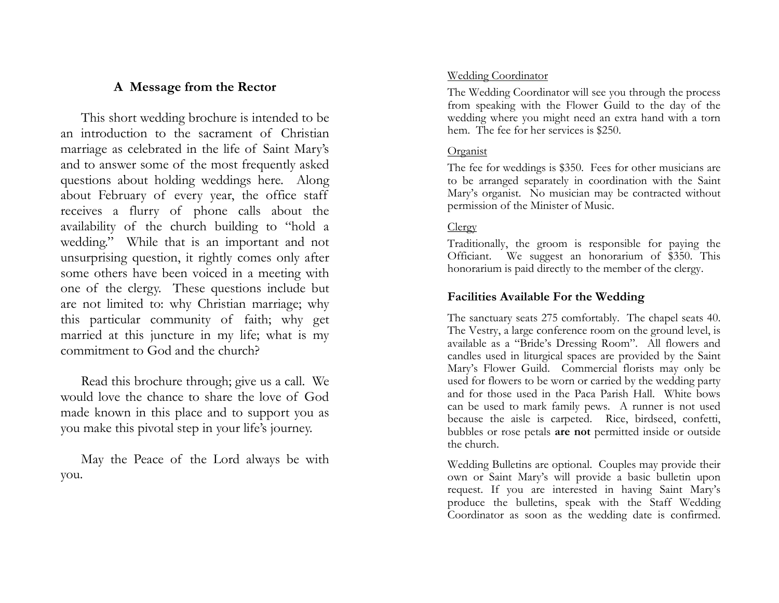## **A Message from the Rector**

 This short wedding brochure is intended to be an introduction to the sacrament of Christian marriage as celebrated in the life of Saint Mary's and to answer some of the most frequently asked questions about holding weddings here. Along about February of every year, the office staff receives a flurry of phone calls about the availability of the church building to "hold a wedding." While that is an important and not unsurprising question, it rightly comes only after some others have been voiced in a meeting with one of the clergy. These questions include but are not limited to: why Christian marriage; why this particular community of faith; why get married at this juncture in my life; what is my commitment to God and the church?

 Read this brochure through; give us a call. We would love the chance to share the love of God made known in this place and to support you as you make this pivotal step in your life's journey.

 May the Peace of the Lord always be with you.

#### Wedding Coordinator

The Wedding Coordinator will see you through the process from speaking with the Flower Guild to the day of the wedding where you might need an extra hand with a torn hem. The fee for her services is \$250.

#### Organist

The fee for weddings is \$350. Fees for other musicians are to be arranged separately in coordination with the Saint Mary's organist. No musician may be contracted without permission of the Minister of Music.

## **Clergy**

Traditionally, the groom is responsible for paying the Officiant. We suggest an honorarium of \$350. This honorarium is paid directly to the member of the clergy.

## **Facilities Available For the Wedding**

The sanctuary seats 275 comfortably. The chapel seats 40. The Vestry, a large conference room on the ground level, is available as a "Bride's Dressing Room". All flowers and candles used in liturgical spaces are provided by the Saint Mary's Flower Guild. Commercial florists may only be used for flowers to be worn or carried by the wedding party and for those used in the Paca Parish Hall. White bows can be used to mark family pews. A runner is not used because the aisle is carpeted. Rice, birdseed, confetti, bubbles or rose petals **are not** permitted inside or outside the church.

Wedding Bulletins are optional. Couples may provide their own or Saint Mary's will provide a basic bulletin upon request. If you are interested in having Saint Mary's produce the bulletins, speak with the Staff Wedding Coordinator as soon as the wedding date is confirmed.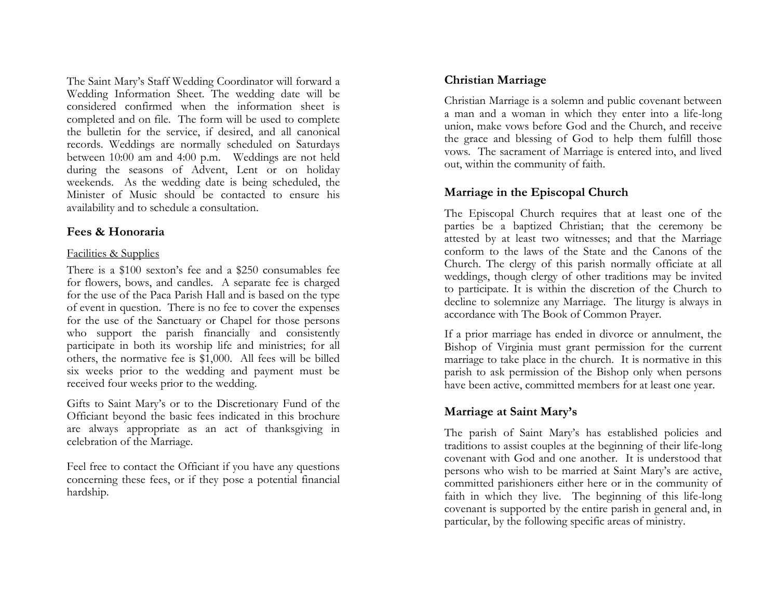The Saint Mary's Staff Wedding Coordinator will forward a Wedding Information Sheet. The wedding date will be considered confirmed when the information sheet is completed and on file. The form will be used to complete the bulletin for the service, if desired, and all canonical records. Weddings are normally scheduled on Saturdays between 10:00 am and 4:00 p.m. Weddings are not held during the seasons of Advent, Lent or on holiday weekends. As the wedding date is being scheduled, the Minister of Music should be contacted to ensure his availability and to schedule a consultation.

#### **Fees & Honoraria**

#### Facilities & Supplies

There is a \$100 sexton's fee and a \$250 consumables fee for flowers, bows, and candles. A separate fee is charged for the use of the Paca Parish Hall and is based on the type of event in question. There is no fee to cover the expenses for the use of the Sanctuary or Chapel for those persons who support the parish financially and consistently participate in both its worship life and ministries; for all others, the normative fee is \$1,000. All fees will be billed six weeks prior to the wedding and payment must be received four weeks prior to the wedding.

Gifts to Saint Mary's or to the Discretionary Fund of the Officiant beyond the basic fees indicated in this brochure are always appropriate as an act of thanksgiving in celebration of the Marriage.

Feel free to contact the Officiant if you have any questions concerning these fees, or if they pose a potential financial hardship.

## **Christian Marriage**

Christian Marriage is a solemn and public covenant between a man and a woman in which they enter into a life-long union, make vows before God and the Church, and receive the grace and blessing of God to help them fulfill those vows. The sacrament of Marriage is entered into, and lived out, within the community of faith.

## **Marriage in the Episcopal Church**

The Episcopal Church requires that at least one of the parties be a baptized Christian; that the ceremony be attested by at least two witnesses; and that the Marriage conform to the laws of the State and the Canons of the Church. The clergy of this parish normally officiate at all weddings, though clergy of other traditions may be invited to participate. It is within the discretion of the Church to decline to solemnize any Marriage. The liturgy is always in accordance with The Book of Common Prayer.

If a prior marriage has ended in divorce or annulment, the Bishop of Virginia must grant permission for the current marriage to take place in the church. It is normative in this parish to ask permission of the Bishop only when persons have been active, committed members for at least one year.

# **Marriage at Saint Mary's**

The parish of Saint Mary's has established policies and traditions to assist couples at the beginning of their life-long covenant with God and one another. It is understood that persons who wish to be married at Saint Mary's are active, committed parishioners either here or in the community of faith in which they live. The beginning of this life-long covenant is supported by the entire parish in general and, in particular, by the following specific areas of ministry.